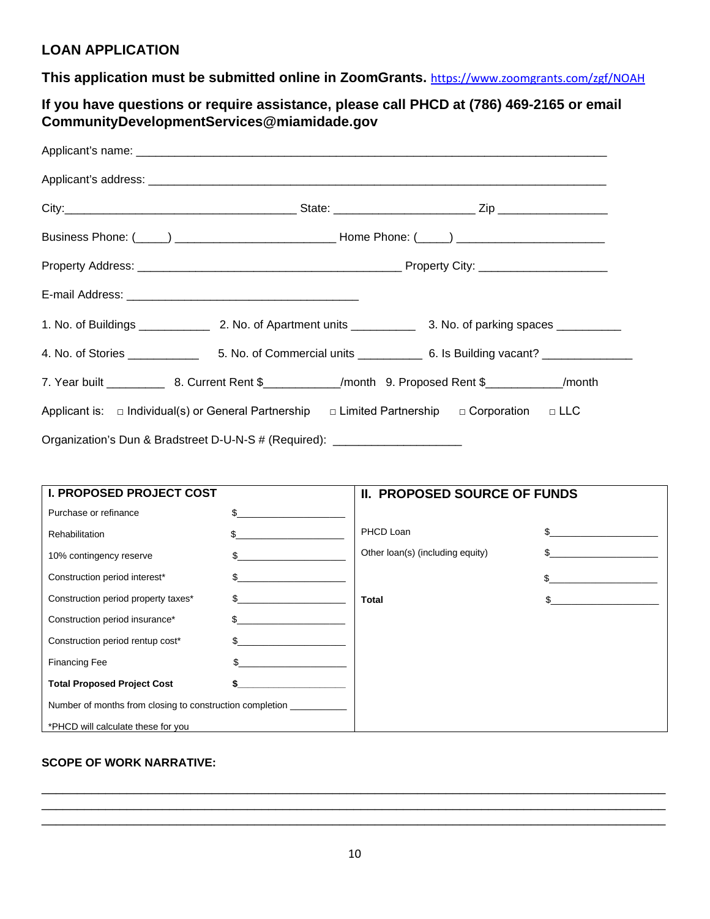## **LOAN APPLICATION**

**This application must be submitted online in ZoomGrants.** <https://www.zoomgrants.com/zgf/NOAH>

**If you have questions or require assistance, please call PHCD at (786) 469-2165 or email CommunityDevelopmentServices@miamidade.gov**

|                                                                                                                    |  | Business Phone: (\int____) \\connectledge \\connectledge \\connectledge \\connectledge \\connectledge \\connectledge \\connectledge \\connectledge \\connectledge \\connectledge \\connectledge \\connectledge \\connectledge |  |  |
|--------------------------------------------------------------------------------------------------------------------|--|-------------------------------------------------------------------------------------------------------------------------------------------------------------------------------------------------------------------------------|--|--|
|                                                                                                                    |  |                                                                                                                                                                                                                               |  |  |
|                                                                                                                    |  |                                                                                                                                                                                                                               |  |  |
|                                                                                                                    |  |                                                                                                                                                                                                                               |  |  |
|                                                                                                                    |  |                                                                                                                                                                                                                               |  |  |
|                                                                                                                    |  |                                                                                                                                                                                                                               |  |  |
| Applicant is: $\Box$ Individual(s) or General Partnership $\Box$ Limited Partnership $\Box$ Corporation $\Box$ LLC |  |                                                                                                                                                                                                                               |  |  |
| Organization's Dun & Bradstreet D-U-N-S # (Required): __________________________                                   |  |                                                                                                                                                                                                                               |  |  |

| <b>I. PROPOSED PROJECT COST</b>                          |     | <b>II. PROPOSED SOURCE OF FUNDS</b> |     |
|----------------------------------------------------------|-----|-------------------------------------|-----|
| Purchase or refinance                                    |     |                                     |     |
| Rehabilitation                                           |     | PHCD Loan                           | \$  |
| 10% contingency reserve                                  |     | Other loan(s) (including equity)    |     |
| Construction period interest*                            | \$. |                                     | \$. |
| Construction period property taxes*                      |     | <b>Total</b>                        |     |
| Construction period insurance*                           |     |                                     |     |
| Construction period rentup cost*                         |     |                                     |     |
| <b>Financing Fee</b>                                     |     |                                     |     |
| <b>Total Proposed Project Cost</b>                       |     |                                     |     |
| Number of months from closing to construction completion |     |                                     |     |
| *PHCD will calculate these for you                       |     |                                     |     |

## **SCOPE OF WORK NARRATIVE:**

\_\_\_\_\_\_\_\_\_\_\_\_\_\_\_\_\_\_\_\_\_\_\_\_\_\_\_\_\_\_\_\_\_\_\_\_\_\_\_\_\_\_\_\_\_\_\_\_\_\_\_\_\_\_\_\_\_\_\_\_\_\_\_\_\_\_\_\_\_\_\_\_\_\_\_\_\_\_\_\_\_\_\_\_\_\_\_\_ \_\_\_\_\_\_\_\_\_\_\_\_\_\_\_\_\_\_\_\_\_\_\_\_\_\_\_\_\_\_\_\_\_\_\_\_\_\_\_\_\_\_\_\_\_\_\_\_\_\_\_\_\_\_\_\_\_\_\_\_\_\_\_\_\_\_\_\_\_\_\_\_\_\_\_\_\_\_\_\_\_\_\_\_\_\_\_\_ \_\_\_\_\_\_\_\_\_\_\_\_\_\_\_\_\_\_\_\_\_\_\_\_\_\_\_\_\_\_\_\_\_\_\_\_\_\_\_\_\_\_\_\_\_\_\_\_\_\_\_\_\_\_\_\_\_\_\_\_\_\_\_\_\_\_\_\_\_\_\_\_\_\_\_\_\_\_\_\_\_\_\_\_\_\_\_\_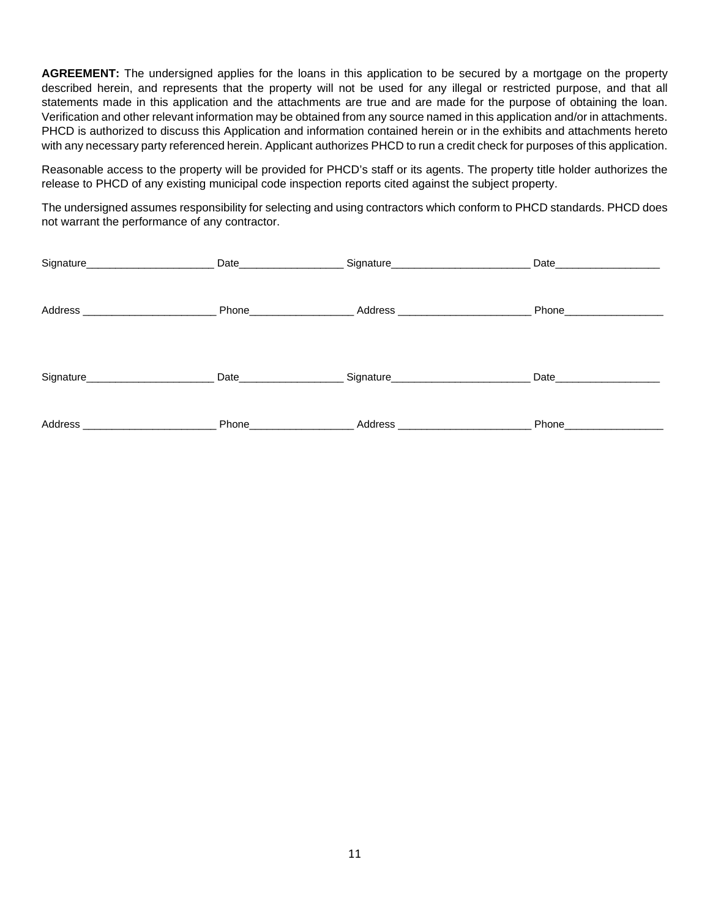**AGREEMENT:** The undersigned applies for the loans in this application to be secured by a mortgage on the property described herein, and represents that the property will not be used for any illegal or restricted purpose, and that all statements made in this application and the attachments are true and are made for the purpose of obtaining the loan. Verification and other relevant information may be obtained from any source named in this application and/or in attachments. PHCD is authorized to discuss this Application and information contained herein or in the exhibits and attachments hereto with any necessary party referenced herein. Applicant authorizes PHCD to run a credit check for purposes of this application.

Reasonable access to the property will be provided for PHCD's staff or its agents. The property title holder authorizes the release to PHCD of any existing municipal code inspection reports cited against the subject property.

The undersigned assumes responsibility for selecting and using contractors which conform to PHCD standards. PHCD does not warrant the performance of any contractor.

| Signature____________________ |                                                                                                                 |                                  | Date <b>Date</b>                                                                                                |
|-------------------------------|-----------------------------------------------------------------------------------------------------------------|----------------------------------|-----------------------------------------------------------------------------------------------------------------|
|                               | Phone____________                                                                                               | Address __________________       | Phone______                                                                                                     |
|                               |                                                                                                                 |                                  |                                                                                                                 |
| Signature____________________ | Date and the state of the state of the state of the state of the state of the state of the state of the state o | Signature_______________________ | Date and the state of the state of the state of the state of the state of the state of the state of the state o |
| Address ____________________  | Phone                                                                                                           | Address ______________           | Phone_____                                                                                                      |